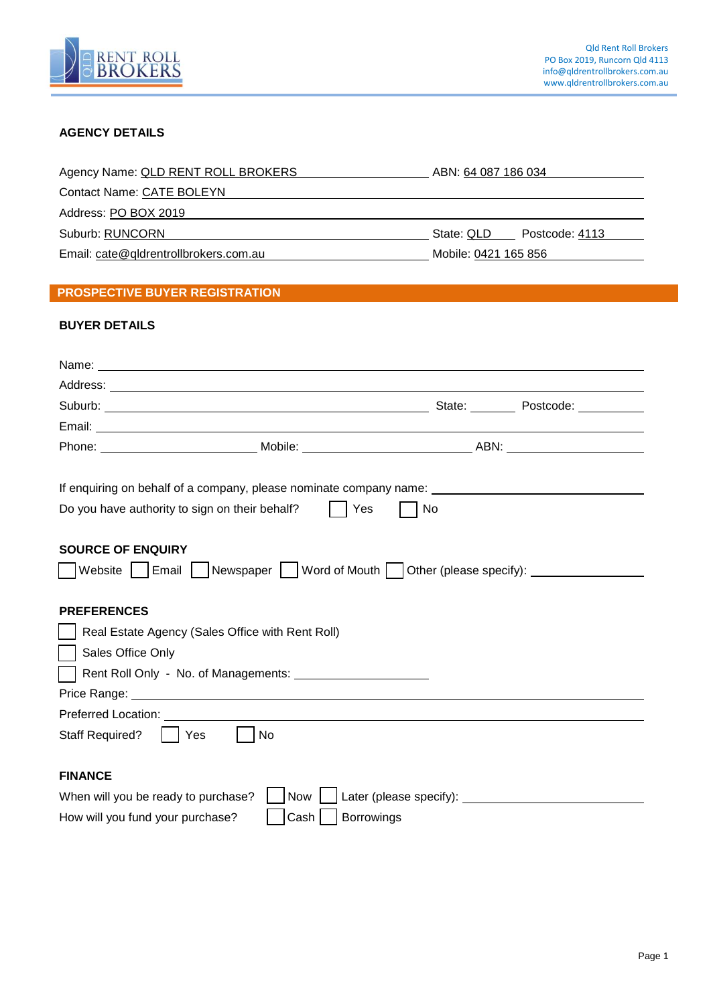

## **AGENCY DETAILS**

| Agency Name: QLD RENT ROLL BROKERS    | ABN: 64 087 186 034          |
|---------------------------------------|------------------------------|
| Contact Name: CATE BOLEYN             |                              |
| Address: PO BOX 2019                  |                              |
| Suburb: RUNCORN                       | State: QLD<br>Postcode: 4113 |
| Email: cate@qldrentrollbrokers.com.au | Mobile: 0421 165 856         |

# **PROSPECTIVE BUYER REGISTRATION**

## **BUYER DETAILS**

| Suburb: Contract of Contract of Contract of Contract of Contract of Contract of Contract of Contract of Contract of Contract of Contract of Contract of Contract of Contract of Contract of Contract of Contract of Contract o                                                                  |    |  |
|-------------------------------------------------------------------------------------------------------------------------------------------------------------------------------------------------------------------------------------------------------------------------------------------------|----|--|
|                                                                                                                                                                                                                                                                                                 |    |  |
|                                                                                                                                                                                                                                                                                                 |    |  |
| If enquiring on behalf of a company, please nominate company name: ________________________________<br>Do you have authority to sign on their behalf?<br>Yes<br><b>SOURCE OF ENQUIRY</b><br>  Website     Email     Newspaper     Word of Mouth   Other (please specify): _____________________ | No |  |
| <b>PREFERENCES</b>                                                                                                                                                                                                                                                                              |    |  |
| Real Estate Agency (Sales Office with Rent Roll)                                                                                                                                                                                                                                                |    |  |
| Sales Office Only                                                                                                                                                                                                                                                                               |    |  |
|                                                                                                                                                                                                                                                                                                 |    |  |
| Price Range: No. 1996. The Contract of the Contract of the Contract of the Contract of the Contract of the Contract of the Contract of the Contract of the Contract of the Contract of the Contract of the Contract of the Con                                                                  |    |  |
|                                                                                                                                                                                                                                                                                                 |    |  |
| <b>Staff Required?</b><br><b>No</b><br>  Yes                                                                                                                                                                                                                                                    |    |  |
|                                                                                                                                                                                                                                                                                                 |    |  |
| <b>FINANCE</b>                                                                                                                                                                                                                                                                                  |    |  |
| When will you be ready to purchase?<br>Now                                                                                                                                                                                                                                                      |    |  |
| Borrowings<br>How will you fund your purchase?<br>Cash                                                                                                                                                                                                                                          |    |  |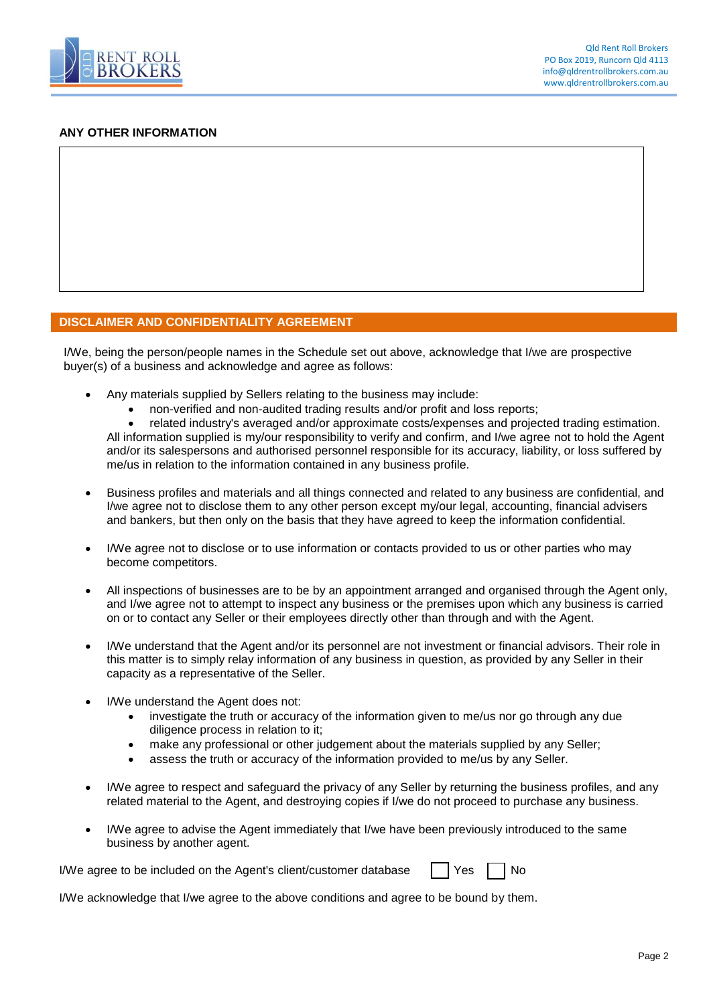

#### **ANY OTHER INFORMATION**

### **DISCLAIMER AND CONFIDENTIALITY AGREEMENT**

I/We, being the person/people names in the Schedule set out above, acknowledge that I/we are prospective buyer(s) of a business and acknowledge and agree as follows:

- Any materials supplied by Sellers relating to the business may include:
	- non-verified and non-audited trading results and/or profit and loss reports;

 related industry's averaged and/or approximate costs/expenses and projected trading estimation. All information supplied is my/our responsibility to verify and confirm, and I/we agree not to hold the Agent and/or its salespersons and authorised personnel responsible for its accuracy, liability, or loss suffered by me/us in relation to the information contained in any business profile.

- Business profiles and materials and all things connected and related to any business are confidential, and I/we agree not to disclose them to any other person except my/our legal, accounting, financial advisers and bankers, but then only on the basis that they have agreed to keep the information confidential.
- I/We agree not to disclose or to use information or contacts provided to us or other parties who may become competitors.
- All inspections of businesses are to be by an appointment arranged and organised through the Agent only, and I/we agree not to attempt to inspect any business or the premises upon which any business is carried on or to contact any Seller or their employees directly other than through and with the Agent.
- I/We understand that the Agent and/or its personnel are not investment or financial advisors. Their role in this matter is to simply relay information of any business in question, as provided by any Seller in their capacity as a representative of the Seller.
- I/We understand the Agent does not:
	- investigate the truth or accuracy of the information given to me/us nor go through any due diligence process in relation to it;
	- make any professional or other judgement about the materials supplied by any Seller;
	- assess the truth or accuracy of the information provided to me/us by any Seller.
- I/We agree to respect and safeguard the privacy of any Seller by returning the business profiles, and any related material to the Agent, and destroying copies if I/we do not proceed to purchase any business.
- I/We agree to advise the Agent immediately that I/we have been previously introduced to the same business by another agent.

I/We agree to be included on the Agent's client/customer database  $\Box$  Yes  $\Box$  No

I/We acknowledge that I/we agree to the above conditions and agree to be bound by them.